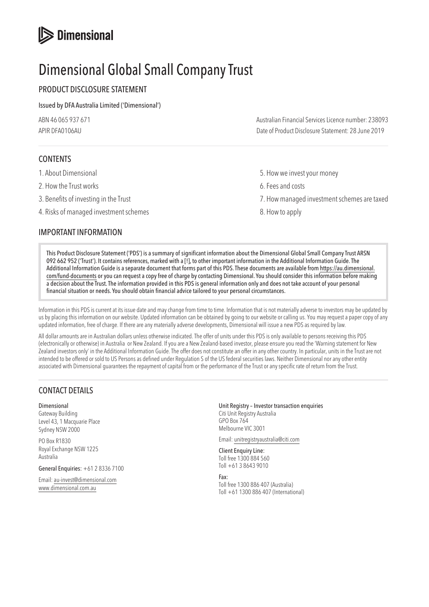# **S** Dimensional

# Dimensional Global Small Company Trust

# PRODUCT DISCLOSURE STATEMENT

# Issued by DFA Australia Limited ('Dimensional')

| ABN 46 065 937 671 | Australian Financial Services Licence number: 238093 |
|--------------------|------------------------------------------------------|
| APIR DFA0106AU     | Date of Product Disclosure Statement: 28 June 2019   |

# CONTENTS

- 
- 2. How the Trust works **6. Fees and costs**
- 
- 4. Risks of managed investment schemes 8. How to apply

# IMPORTANT INFORMATION

- 1. About Dimensional **1.** About Dimensional **5.** How we invest your money
	-
- 3. Benefits of investing in the Trust 7. How managed investment schemes are taxed
	-

This Product Disclosure Statement ('PDS') is a summary of significant information about the Dimensional Global Small Company Trust ARSN 092 662 952 ('Trust'). It contains references, marked with a [!], to other important information in the Additional Information Guide. The Additional Information Guide is a separate document that forms part of this PDS. These documents are available from [https://au.dimensional.](https://au.dimensional.com/fund-documents) [com/fund-documents](https://au.dimensional.com/fund-documents) or you can request a copy free of charge by contacting Dimensional. You should consider this information before making a decision about the Trust. The information provided in this PDS is general information only and does not take account of your personal financial situation or needs. You should obtain financial advice tailored to your personal circumstances.

Information in this PDS is current at its issue date and may change from time to time. Information that is not materially adverse to investors may be updated by us by placing this information on our website. Updated information can be obtained by going to our website or calling us. You may request a paper copy of any updated information, free of charge. If there are any materially adverse developments, Dimensional will issue a new PDS as required by law.

All dollar amounts are in Australian dollars unless otherwise indicated. The offer of units under this PDS is only available to persons receiving this PDS (electronically or otherwise) in Australia or New Zealand. If you are a New Zealand-based investor, please ensure you read the 'Warning statement for New Zealand investors only' in the Additional Information Guide. The offer does not constitute an offer in any other country. In particular, units in the Trust are not intended to be offered or sold to US Persons as defined under Regulation S of the US federal securities laws. Neither Dimensional nor any other entity associated with Dimensional guarantees the repayment of capital from or the performance of the Trust or any specific rate of return from the Trust.

# CONTACT DETAILS

Dimensional Gateway Building Level 43, 1 Macquarie Place Sydney NSW 2000

PO Box R1830 Royal Exchange NSW 1225 Australia

General Enquiries: +61 2 8336 7100

Email: au-invest@dimensional.com www.dimensional.com.au

Unit Registry – Investor transaction enquiries Citi Unit Registry Australia GPO Box 764 Melbourne VIC 3001

Email: unitregistryaustralia@citi.com

Client Enquiry Line: Toll free 1300 884 560 Toll +61 3 8643 9010

Fax: Toll free 1300 886 407 (Australia) Toll +61 1300 886 407 (International)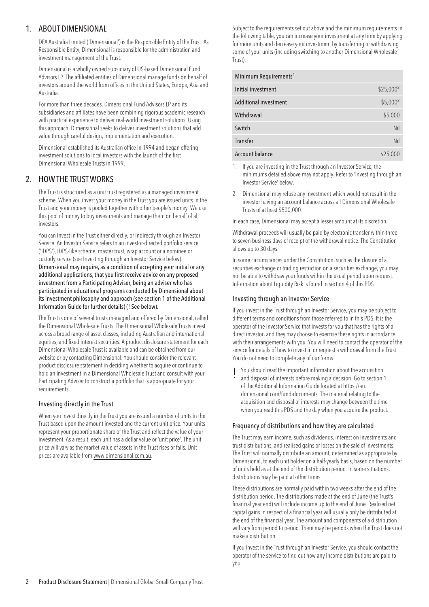# 1. ABOUT DIMENSIONAL

DFA Australia Limited ('Dimensional') is the Responsible Entity of the Trust. As Responsible Entity, Dimensional is responsible for the administration and investment management of the Trust.

Dimensional is a wholly owned subsidiary of US-based Dimensional Fund Advisors LP. The affiliated entities of Dimensional manage funds on behalf of investors around the world from offices in the United States, Europe, Asia and Australia.

For more than three decades, Dimensional Fund Advisors LP and its subsidiaries and affiliates have been combining rigorous academic research with practical experience to deliver real-world investment solutions. Using this approach, Dimensional seeks to deliver investment solutions that add value through careful design, implementation and execution.

Dimensional established its Australian office in 1994 and began offering investment solutions to local investors with the launch of the first Dimensional Wholesale Trusts in 1999.

# 2. HOW THE TRUST WORKS

The Trust is structured as a unit trust registered as a managed investment scheme. When you invest your money in the Trust you are issued units in the Trust and your money is pooled together with other people's money. We use this pool of money to buy investments and manage them on behalf of all investors.

You can invest in the Trust either directly, or indirectly through an Investor Service. An Investor Service refers to an investor-directed portfolio service ('IDPS'), IDPS-like scheme, master trust, wrap account or a nominee or custody service (see Investing through an Investor Service below). Dimensional may require, as a condition of accepting your initial or any additional applications, that you first receive advice on any proposed investment from a Participating Adviser, being an adviser who has participated in educational programs conducted by Dimensional about its investment philosophy and approach (see section 1 of the Additional Information Guide for further details) (! See below).

The Trust is one of several trusts managed and offered by Dimensional, called the Dimensional Wholesale Trusts. The Dimensional Wholesale Trusts invest across a broad range of asset classes, including Australian and international equities, and fixed interest securities. A product disclosure statement for each Dimensional Wholesale Trust is available and can be obtained from our website or by contacting Dimensional. You should consider the relevant product disclosure statement in deciding whether to acquire or continue to hold an investment in a Dimensional Wholesale Trust and consult with your Participating Adviser to construct a portfolio that is appropriate for your requirements.

# Investing directly in the Trust

When you invest directly in the Trust you are issued a number of units in the Trust based upon the amount invested and the current unit price. Your units represent your proportionate share of the Trust and reflect the value of your investment. As a result, each unit has a dollar value or 'unit price'. The unit price will vary as the market value of assets in the Trust rises or falls. Unit prices are available from [www.dimensional.com.au.](www.dimensional.com.au)

Subject to the requirements set out above and the minimum requirements in the following table, you can increase your investment at any time by applying for more units and decrease your investment by transferring or withdrawing some of your units (including switching to another Dimensional Wholesale Trust).

| Minimum Requirements <sup>1</sup> |             |
|-----------------------------------|-------------|
| Initial investment                | $$25,000^2$ |
| <b>Additional investment</b>      | $$5,000^2$  |
| Withdrawal                        | \$5,000     |
| Switch                            | Nil         |
| Transfer                          | Nil         |
| <b>Account balance</b>            | \$25,000    |

- 1. If you are investing in the Trust through an Investor Service, the minimums detailed above may not apply. Refer to 'Investing through an Investor Service' below.
- 2. Dimensional may refuse any investment which would not result in the investor having an account balance across all Dimensional Wholesale Trusts of at least \$500,000.

In each case, Dimensional may accept a lesser amount at its discretion.

Withdrawal proceeds will usually be paid by electronic transfer within three to seven business days of receipt of the withdrawal notice. The Constitution allows up to 30 days.

In some circumstances under the Constitution, such as the closure of a securities exchange or trading restriction on a securities exchange, you may not be able to withdraw your funds within the usual period upon request. Information about Liquidity Risk is found in section 4 of this PDS.

# Investing through an Investor Service

If you invest in the Trust through an Investor Service, you may be subject to different terms and conditions from those referred to in this PDS. It is the operator of the Investor Service that invests for you that has the rights of a direct investor, and they may choose to exercise these rights in accordance with their arrangements with you. You will need to contact the operator of the service for details of how to invest in or request a withdrawal from the Trust. You do not need to complete any of our forms.

! You should read the important information about the acquisition and disposal of interests before making a decision. Go to section 1 of the Additional Information Guide located at [https://au.](https://au.dimensional.com/fund-documents) [dimensional.com/fund-documents.](https://au.dimensional.com/fund-documents) The material relating to the acquisition and disposal of interests may change between the time when you read this PDS and the day when you acquire the product.

# Frequency of distributions and how they are calculated

The Trust may earn income, such as dividends, interest on investments and trust distributions, and realised gains or losses on the sale of investments. The Trust will normally distribute an amount, determined as appropriate by Dimensional, to each unit holder on a half-yearly basis, based on the number of units held as at the end of the distribution period. In some situations, distributions may be paid at other times.

These distributions are normally paid within two weeks after the end of the distribution period. The distributions made at the end of June (the Trust's financial year end) will include income up to the end of June. Realised net capital gains in respect of a financial year will usually only be distributed at the end of the financial year. The amount and components of a distribution will vary from period to period. There may be periods when the Trust does not make a distribution.

If you invest in the Trust through an Investor Service, you should contact the operator of the service to find out how any income distributions are paid to you.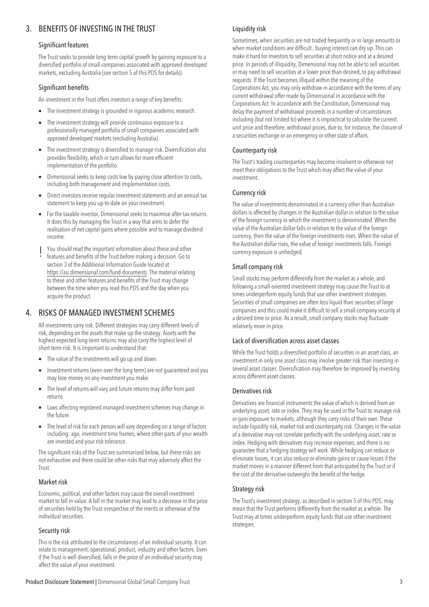# 3. BENEFITS OF INVESTING IN THE TRUST

## Significant features

The Trust seeks to provide long-term capital growth by gaining exposure to a diversified portfolio of small companies associated with approved developed markets, excluding Australia (see section 5 of this PDS for details).

## Significant benefits

An investment in the Trust offers investors a range of key benefits:

- The investment strategy is grounded in rigorous academic research.
- The investment strategy will provide continuous exposure to a professionally managed portfolio of small companies associated with approved developed markets (excluding Australia).
- The investment strategy is diversified to manage risk. Diversification also provides flexibility, which in turn allows for more efficient implementation of the portfolio.
- Dimensional seeks to keep costs low by paying close attention to costs, including both management and implementation costs.
- Direct investors receive regular investment statements and an annual tax statement to keep you up-to-date on your investment.
- For the taxable investor, Dimensional seeks to maximise after-tax returns. It does this by managing the Trust in a way that aims to defer the realisation of net capital gains where possible and to manage dividend income.
- 
- ! You should read the important information about these and other features and benefits of the Trust before making a decision. Go to section 3 of the Additional Information Guide located at [https://au.dimensional.com/fund-documents.](https://au.dimensional.com/fund-documents) The material relating to these and other features and benefits of the Trust may change between the time when you read this PDS and the day when you acquire the product.

# 4. RISKS OF MANAGED INVESTMENT SCHEMES

All investments carry risk. Different strategies may carry different levels of risk, depending on the assets that make up the strategy. Assets with the highest expected long-term returns may also carry the highest level of short-term risk. It is important to understand that:

- The value of the investments will go up and down.
- Investment returns (even over the long term) are not guaranteed and you may lose money on any investment you make.
- The level of returns will vary and future returns may differ from past returns.
- Laws affecting registered managed investment schemes may change in the future.
- The level of risk for each person will vary depending on a range of factors including: age, investment time frames, where other parts of your wealth are invested and your risk tolerance.

The significant risks of the Trust are summarised below, but these risks are not exhaustive and there could be other risks that may adversely affect the Trust.

# Market risk

Economic, political, and other factors may cause the overall investment market to fall in value. A fall in the market may lead to a decrease in the price of securities held by the Trust irrespective of the merits or otherwise of the individual securities.

# Security risk

This is the risk attributed to the circumstances of an individual security. It can relate to management, operational, product, industry and other factors. Even if the Trust is well diversified, falls in the price of an individual security may affect the value of your investment.

Sometimes, when securities are not traded frequently or in large amounts or when market conditions are difficult , buying interest can dry up. This can make it hard for investors to sell securities at short notice and at a desired price. In periods of illiquidity, Dimensional may not be able to sell securities or may need to sell securities at a lower price than desired, to pay withdrawal requests. If the Trust becomes illiquid within the meaning of the Corporations Act, you may only withdraw in accordance with the terms of any current withdrawal offer made by Dimensional in accordance with the Corporations Act. In accordance with the Constitution, Dimensional may delay the payment of withdrawal proceeds in a number of circumstances including (but not limited to) where it is impractical to calculate the current unit price and therefore, withdrawal prices, due to, for instance, the closure of a securities exchange or an emergency or other state of affairs.

# Counterparty risk

The Trust's trading counterparties may become insolvent or otherwise not meet their obligations to the Trust which may affect the value of your investment.

# Currency risk

The value of investments denominated in a currency other than Australian dollars is affected by changes in the Australian dollar in relation to the value of the foreign currency in which the investment is denominated. When the value of the Australian dollar falls in relation to the value of the foreign currency, then the value of the foreign investments rises. When the value of the Australian dollar rises, the value of foreign investments falls. Foreign currency exposure is unhedged.

# Small company risk

Small stocks may perform differently from the market as a whole, and following a small-oriented investment strategy may cause the Trust to at times underperform equity funds that use other investment strategies. Securities of small companies are often less liquid than securities of large companies and this could make it difficult to sell a small company security at a desired time or price. As a result, small company stocks may fluctuate relatively more in price.

# Lack of diversification across asset classes

While the Trust holds a diversified portfolio of securities in an asset class, an investment in only one asset class may involve greater risk than investing in several asset classes. Diversification may therefore be improved by investing across different asset classes.

# Derivatives risk

Derivatives are financial instruments the value of which is derived from an underlying asset, rate or index. They may be used in the Trust to manage risk or gain exposure to markets, although they carry risks of their own. These include liquidity risk, market risk and counterparty risk. Changes in the value of a derivative may not correlate perfectly with the underlying asset, rate or index. Hedging with derivatives may increase expenses, and there is no guarantee that a hedging strategy will work. While hedging can reduce or eliminate losses, it can also reduce or eliminate gains or cause losses if the market moves in a manner different from that anticipated by the Trust or if the cost of the derivative outweighs the benefit of the hedge.

# Strategy risk

The Trust's investment strategy, as described in section 5 of this PDS, may mean that the Trust performs differently from the market as a whole. The Trust may at times underperform equity funds that use other investment strategies.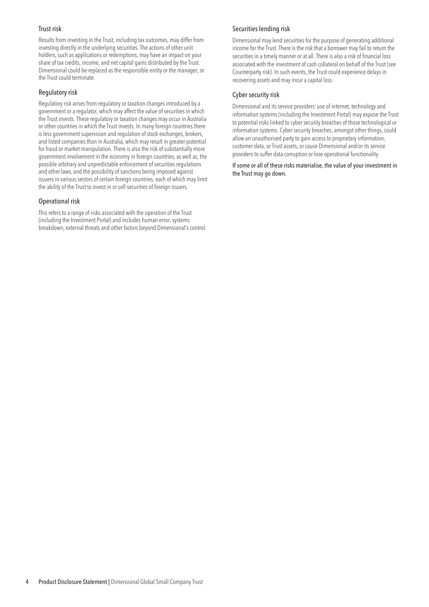### Trust risk

Results from investing in the Trust, including tax outcomes, may differ from investing directly in the underlying securities. The actions of other unit holders, such as applications or redemptions, may have an impact on your share of tax credits, income, and net capital gains distributed by the Trust. Dimensional could be replaced as the responsible entity or the manager, or the Trust could terminate.

#### Regulatory risk

Regulatory risk arises from regulatory or taxation changes introduced by a government or a regulator, which may affect the value of securities in which the Trust invests. These regulatory or taxation changes may occur in Australia or other countries in which the Trust invests. In many foreign countries there is less government supervision and regulation of stock exchanges, brokers, and listed companies than in Australia, which may result in greater potential for fraud or market manipulation. There is also the risk of substantially more government involvement in the economy in foreign countries, as well as, the possible arbitrary and unpredictable enforcement of securities regulations and other laws, and the possibility of sanctions being imposed against issuers in various sectors of certain foreign countries, each of which may limit the ability of the Trust to invest in or sell securities of foreign issuers.

#### Operational risk

This refers to a range of risks associated with the operation of the Trust (including the Investment Portal) and includes human error, systems breakdown, external threats and other factors beyond Dimensional's control.

## Securities lending risk

Dimensional may lend securities for the purpose of generating additional income for the Trust. There is the risk that a borrower may fail to return the securities in a timely manner or at all. There is also a risk of financial loss associated with the investment of cash collateral on behalf of the Trust (see Counterparty risk). In such events, the Trust could experience delays in recovering assets and may incur a capital loss.

#### Cyber security risk

Dimensional and its service providers' use of internet, technology and information systems (including the Investment Portal) may expose the Trust to potential risks linked to cyber security breaches of those technological or information systems. Cyber security breaches, amongst other things, could allow an unauthorised party to gain access to proprietary information, customer data, or Trust assets, or cause Dimensional and/or its service providers to suffer data corruption or lose operational functionality.

If some or all of these risks materialise, the value of your investment in the Trust may go down.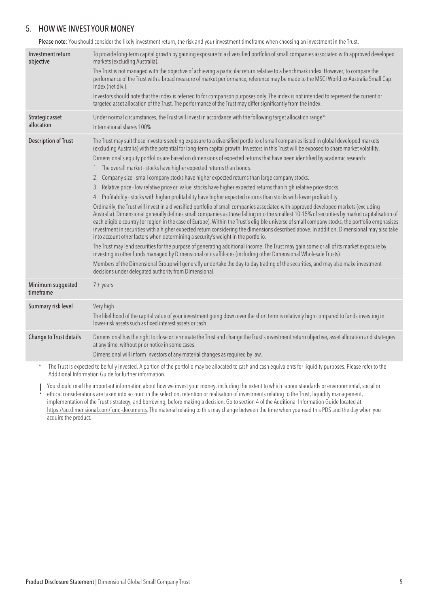# 5. HOW WE INVEST YOUR MONEY

Please note: You should consider the likely investment return, the risk and your investment timeframe when choosing an investment in the Trust.

| Investment return<br>objective | To provide long-term capital growth by gaining exposure to a diversified portfolio of small companies associated with approved developed<br>markets (excluding Australia).<br>The Trust is not managed with the objective of achieving a particular return relative to a benchmark index. However, to compare the<br>performance of the Trust with a broad measure of market performance, reference may be made to the MSCI World ex Australia Small Cap<br>Index (net div.).<br>Investors should note that the index is referred to for comparison purposes only. The index is not intended to represent the current or<br>targeted asset allocation of the Trust. The performance of the Trust may differ significantly from the index.                                                                                                                                                                                                                                                                                                                                                                                                                                                                                                                                                                                                                                                                                                                                                                                                                                                                                                                                                                                                                                                                                                                                                                                                                                                      |
|--------------------------------|------------------------------------------------------------------------------------------------------------------------------------------------------------------------------------------------------------------------------------------------------------------------------------------------------------------------------------------------------------------------------------------------------------------------------------------------------------------------------------------------------------------------------------------------------------------------------------------------------------------------------------------------------------------------------------------------------------------------------------------------------------------------------------------------------------------------------------------------------------------------------------------------------------------------------------------------------------------------------------------------------------------------------------------------------------------------------------------------------------------------------------------------------------------------------------------------------------------------------------------------------------------------------------------------------------------------------------------------------------------------------------------------------------------------------------------------------------------------------------------------------------------------------------------------------------------------------------------------------------------------------------------------------------------------------------------------------------------------------------------------------------------------------------------------------------------------------------------------------------------------------------------------------------------------------------------------------------------------------------------------|
| Strategic asset<br>allocation  | Under normal circumstances, the Trust will invest in accordance with the following target allocation range*:<br>International shares 100%                                                                                                                                                                                                                                                                                                                                                                                                                                                                                                                                                                                                                                                                                                                                                                                                                                                                                                                                                                                                                                                                                                                                                                                                                                                                                                                                                                                                                                                                                                                                                                                                                                                                                                                                                                                                                                                      |
| <b>Description of Trust</b>    | The Trust may suit those investors seeking exposure to a diversified portfolio of small companies listed in global developed markets<br>(excluding Australia) with the potential for long-term capital growth. Investors in this Trust will be exposed to share market volatility.<br>Dimensional's equity portfolios are based on dimensions of expected returns that have been identified by academic research:<br>1. The overall market - stocks have higher expected returns than bonds.<br>2. Company size - small company stocks have higher expected returns than large company stocks.<br>3. Relative price - low relative price or 'value' stocks have higher expected returns than high relative price stocks.<br>4. Profitability - stocks with higher profitability have higher expected returns than stocks with lower profitability.<br>Ordinarily, the Trust will invest in a diversified portfolio of small companies associated with approved developed markets (excluding<br>Australia). Dimensional generally defines small companies as those falling into the smallest 10-15% of securities by market capitalisation of<br>each eligible country (or region in the case of Europe). Within the Trust's eligible universe of small company stocks, the portfolio emphasises<br>investment in securities with a higher expected return considering the dimensions described above. In addition, Dimensional may also take<br>into account other factors when determining a security's weight in the portfolio.<br>The Trust may lend securities for the purpose of generating additional income. The Trust may gain some or all of its market exposure by<br>investing in other funds managed by Dimensional or its affiliates (including other Dimensional Wholesale Trusts).<br>Members of the Dimensional Group will generally undertake the day-to-day trading of the securities, and may also make investment<br>decisions under delegated authority from Dimensional. |
| Minimum suggested<br>timeframe | $7 + \gamma$ ears                                                                                                                                                                                                                                                                                                                                                                                                                                                                                                                                                                                                                                                                                                                                                                                                                                                                                                                                                                                                                                                                                                                                                                                                                                                                                                                                                                                                                                                                                                                                                                                                                                                                                                                                                                                                                                                                                                                                                                              |
| Summary risk level             | Very high<br>The likelihood of the capital value of your investment going down over the short term is relatively high compared to funds investing in<br>lower-risk assets such as fixed interest assets or cash.                                                                                                                                                                                                                                                                                                                                                                                                                                                                                                                                                                                                                                                                                                                                                                                                                                                                                                                                                                                                                                                                                                                                                                                                                                                                                                                                                                                                                                                                                                                                                                                                                                                                                                                                                                               |
| Change to Trust details        | Dimensional has the right to close or terminate the Trust and change the Trust's investment return objective, asset allocation and strategies<br>at any time, without prior notice in some cases.<br>Dimensional will inform investors of any material changes as required by law.                                                                                                                                                                                                                                                                                                                                                                                                                                                                                                                                                                                                                                                                                                                                                                                                                                                                                                                                                                                                                                                                                                                                                                                                                                                                                                                                                                                                                                                                                                                                                                                                                                                                                                             |
| $\ast$                         | The Trust is expected to be fully invested. A portion of the portfolio may be allocated to cash and cash equivalents for liquidity purposes. Please refer to the<br>Additional Information Guide for further information.                                                                                                                                                                                                                                                                                                                                                                                                                                                                                                                                                                                                                                                                                                                                                                                                                                                                                                                                                                                                                                                                                                                                                                                                                                                                                                                                                                                                                                                                                                                                                                                                                                                                                                                                                                      |

You should read the important information about how we invest your money, including the extent to which labour standards or environmental, social or<br>• ethical considerations are taken into account in the selection, retenti implementation of the Trust's strategy, and borrowing, before making a decision. Go to section 4 of the Additional Information Guide located at [https://au.dimensional.com/fund-documents.](https://au.dimensional.com/fund-documents) The material relating to this may change between the time when you read this PDS and the day when you acquire the product.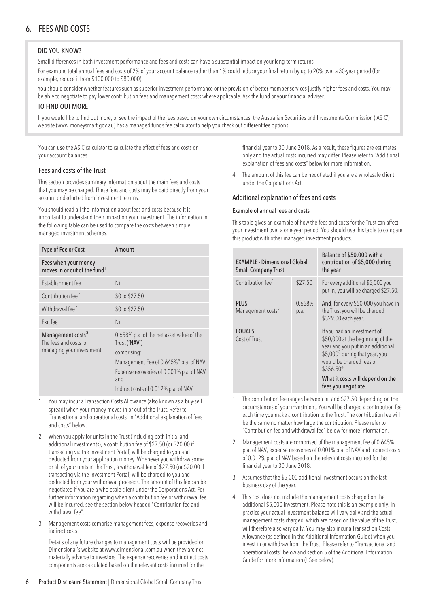# 6. FEES AND COSTS

# DID YOU KNOW?

Small differences in both investment performance and fees and costs can have a substantial impact on your long-term returns.

For example, total annual fees and costs of 2% of your account balance rather than 1% could reduce your final return by up to 20% over a 30-year period (for example, reduce it from \$100,000 to \$80,000).

You should consider whether features such as superior investment performance or the provision of better member services justify higher fees and costs. You may be able to negotiate to pay lower contribution fees and management costs where applicable. Ask the fund or your financial adviser.

#### TO FIND OUT MORE

If you would like to find out more, or see the impact of the fees based on your own circumstances, the Australian Securities and Investments Commission ('ASIC') website (www.moneysmart.gov.au) has a managed funds fee calculator to help you check out different fee options.

You can use the ASIC calculator to calculate the effect of fees and costs on your account balances.

#### Fees and costs of the Trust

This section provides summary information about the main fees and costs that you may be charged. These fees and costs may be paid directly from your account or deducted from investment returns.

You should read all the information about fees and costs because it is important to understand their impact on your investment. The information in the following table can be used to compare the costs between simple managed investment schemes.

| Type of Fee or Cost                                                                 | Amount                                                                    |
|-------------------------------------------------------------------------------------|---------------------------------------------------------------------------|
| Fees when your money<br>moves in or out of the fund <sup>1</sup>                    |                                                                           |
| Establishment fee                                                                   | Nil                                                                       |
| Contribution fee <sup>2</sup>                                                       | \$0 to \$27.50                                                            |
| Withdrawal fee <sup>2</sup>                                                         | \$0 to \$27.50                                                            |
| Exit fee                                                                            | Nil                                                                       |
| Management costs <sup>3</sup><br>The fees and costs for<br>managing your investment | 0.658% p.a. of the net asset value of the<br>Trust ('NAV')<br>comprising: |
|                                                                                     | Management Fee of 0.645% <sup>4</sup> p.a. of NAV                         |
|                                                                                     | Expense recoveries of 0.001% p.a. of NAV<br>and                           |
|                                                                                     | Indirect costs of 0.012% p.a. of NAV                                      |

- 1. You may incur a Transaction Costs Allowance (also known as a buy-sell spread) when your money moves in or out of the Trust. Refer to 'Transactional and operational costs' in "Additional explanation of fees and costs" below.
- 2. When you apply for units in the Trust (including both initial and additional investments), a contribution fee of \$27.50 (or \$20.00 if transacting via the Investment Portal) will be charged to you and deducted from your application money. Whenever you withdraw some or all of your units in the Trust, a withdrawal fee of \$27.50 (or \$20.00 if transacting via the Investment Portal) will be charged to you and deducted from your withdrawal proceeds. The amount of this fee can be negotiated if you are a wholesale client under the Corporations Act. For further information regarding when a contribution fee or withdrawal fee will be incurred, see the section below headed "Contribution fee and withdrawal fee".
- 3. Management costs comprise management fees, expense recoveries and indirect costs.

Details of any future changes to management costs will be provided on Dimensional's website at<www.dimensional.com.au> when they are not materially adverse to investors. The expense recoveries and indirect costs components are calculated based on the relevant costs incurred for the

financial year to 30 June 2018. As a result, these figures are estimates only and the actual costs incurred may differ. Please refer to "Additional explanation of fees and costs" below for more information.

4. The amount of this fee can be negotiated if you are a wholesale client under the Corporations Act.

#### Additional explanation of fees and costs

#### Example of annual fees and costs

This table gives an example of how the fees and costs for the Trust can affect your investment over a one-year period. You should use this table to compare this product with other managed investment products.

| <b>EXAMPLE - Dimensional Global</b><br><b>Small Company Trust</b> |                | Balance of \$50,000 with a<br>contribution of \$5,000 during<br>the year                                                                                                                                                                                  |
|-------------------------------------------------------------------|----------------|-----------------------------------------------------------------------------------------------------------------------------------------------------------------------------------------------------------------------------------------------------------|
| Contribution fee <sup>1</sup>                                     | \$27.50        | For every additional \$5,000 you<br>put in, you will be charged \$27.50.                                                                                                                                                                                  |
| <b>PLUS</b><br>Management costs <sup>2</sup>                      | 0.658%<br>p.a. | And, for every \$50,000 you have in<br>the Trust you will be charged<br>\$329.00 each year.                                                                                                                                                               |
| <b>EQUALS</b><br>Cost of Trust                                    |                | If you had an investment of<br>\$50,000 at the beginning of the<br>year and you put in an additional<br>\$5,000 <sup>3</sup> during that year, you<br>would be charged fees of<br>$$356.504$ .<br>What it costs will depend on the<br>fees you negotiate. |

- 1. The contribution fee ranges between nil and \$27.50 depending on the circumstances of your investment. You will be charged a contribution fee each time you make a contribution to the Trust. The contribution fee will be the same no matter how large the contribution. Please refer to "Contribution fee and withdrawal fee" below for more information.
- 2. Management costs are comprised of the management fee of 0.645% p.a. of NAV, expense recoveries of 0.001% p.a. of NAV and indirect costs of 0.012% p.a. of NAV based on the relevant costs incurred for the financial year to 30 June 2018.
- 3. Assumes that the \$5,000 additional investment occurs on the last business day of the year.
- 4. This cost does not include the management costs charged on the additional \$5,000 investment. Please note this is an example only. In practice your actual investment balance will vary daily and the actual management costs charged, which are based on the value of the Trust, will therefore also vary daily. You may also incur a Transaction Costs Allowance (as defined in the Additional Information Guide) when you invest in or withdraw from the Trust. Please refer to "Transactional and operational costs" below and section 5 of the Additional Information Guide for more information (! See below).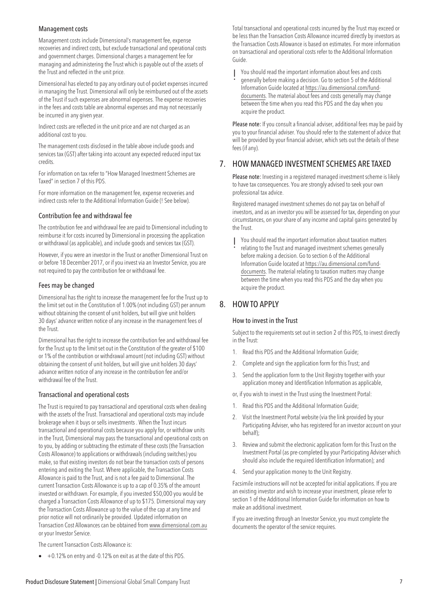#### Management costs

Management costs include Dimensional's management fee, expense recoveries and indirect costs, but exclude transactional and operational costs and government charges. Dimensional charges a management fee for managing and administering the Trust which is payable out of the assets of the Trust and reflected in the unit price.

Dimensional has elected to pay any ordinary out-of-pocket expenses incurred in managing the Trust. Dimensional will only be reimbursed out of the assets of the Trust if such expenses are abnormal expenses. The expense recoveries in the fees and costs table are abnormal expenses and may not necessarily be incurred in any given year.

Indirect costs are reflected in the unit price and are not charged as an additional cost to you.

The management costs disclosed in the table above include goods and services tax (GST) after taking into account any expected reduced input tax credits.

For information on tax refer to "How Managed Investment Schemes are Taxed" in section 7 of this PDS.

For more information on the management fee, expense recoveries and indirect costs refer to the Additional Information Guide (! See below).

#### Contribution fee and withdrawal fee

The contribution fee and withdrawal fee are paid to Dimensional including to reimburse it for costs incurred by Dimensional in processing the application or withdrawal (as applicable), and include goods and services tax (GST).

However, if you were an investor in the Trust or another Dimensional Trust on or before 18 December 2017, or if you invest via an Investor Service, you are not required to pay the contribution fee or withdrawal fee.

#### Fees may be changed

Dimensional has the right to increase the management fee for the Trust up to the limit set out in the Constitution of 1.00% (not including GST) per annum without obtaining the consent of unit holders, but will give unit holders 30 days' advance written notice of any increase in the management fees of the Trust.

Dimensional has the right to increase the contribution fee and withdrawal fee for the Trust up to the limit set out in the Constitution of the greater of \$100 or 1% of the contribution or withdrawal amount (not including GST) without obtaining the consent of unit holders, but will give unit holders 30 days' advance written notice of any increase in the contribution fee and/or withdrawal fee of the Trust.

#### Transactional and operational costs

The Trust is required to pay transactional and operational costs when dealing with the assets of the Trust. Transactional and operational costs may include brokerage when it buys or sells investments . When the Trust incurs transactional and operational costs because you apply for, or withdraw units in the Trust, Dimensional may pass the transactional and operational costs on to you, by adding or subtracting the estimate of these costs (the Transaction Costs Allowance) to applications or withdrawals (including switches) you make, so that existing investors do not bear the transaction costs of persons entering and exiting the Trust. Where applicable, the Transaction Costs Allowance is paid to the Trust, and is not a fee paid to Dimensional. The current Transaction Costs Allowance is up to a cap of 0.35% of the amount invested or withdrawn. For example, if you invested \$50,000 you would be charged a Transaction Costs Allowance of up to \$175. Dimensional may vary the Transaction Costs Allowance up to the value of the cap at any time and prior notice will not ordinarily be provided. Updated information on Transaction Cost Allowances can be obtained from<www.dimensional.com.au> or your Investor Service.

The current Transaction Costs Allowance is:

• +0.12% on entry and -0.12% on exit as at the date of this PDS.

Total transactional and operational costs incurred by the Trust may exceed or be less than the Transaction Costs Allowance incurred directly by investors as the Transaction Costs Allowance is based on estimates. For more information on transactional and operational costs refer to the Additional Information Guide.

! You should read the important information about fees and costs generally before making a decision. Go to section 5 of the Additional Information Guide located at [https://au.dimensional.com/fund](https://au.dimensional.com/fund-documents)[documents.](https://au.dimensional.com/fund-documents) The material about fees and costs generally may change between the time when you read this PDS and the day when you acquire the product.

Please note: If you consult a financial adviser, additional fees may be paid by you to your financial adviser. You should refer to the statement of advice that will be provided by your financial adviser, which sets out the details of these fees (if any).

# 7. HOW MANAGED INVESTMENT SCHEMES ARE TAXED

Please note: Investing in a registered managed investment scheme is likely to have tax consequences. You are strongly advised to seek your own professional tax advice.

Registered managed investment schemes do not pay tax on behalf of investors, and as an investor you will be assessed for tax, depending on your circumstances, on your share of any income and capital gains generated by the Trust.

- 
- ! You should read the important information about taxation matters relating to the Trust and managed investment schemes generally before making a decision. Go to section 6 of the Additional Information Guide located at [https://au.dimensional.com/fund](https://au.dimensional.com/fund-documents)[documents.](https://au.dimensional.com/fund-documents) The material relating to taxation matters may change between the time when you read this PDS and the day when you acquire the product.

# 8. HOW TO APPLY

#### How to invest in the Trust

Subject to the requirements set out in section 2 of this PDS, to invest directly in the Trust:

- 1. Read this PDS and the Additional Information Guide;
- 2. Complete and sign the application form for this Trust; and
- 3. Send the application form to the Unit Registry together with your application money and Identification Information as applicable,
- or, if you wish to invest in the Trust using the Investment Portal:
- 1. Read this PDS and the Additional Information Guide;
- 2. Visit the Investment Portal website (via the link provided by your Participating Adviser, who has registered for an investor account on your behalf);
- 3. Review and submit the electronic application form for this Trust on the Investment Portal (as pre-completed by your Participating Adviser which should also include the required Identification Information); and
- 4. Send your application money to the Unit Registry.

Facsimile instructions will not be accepted for initial applications. If you are an existing investor and wish to increase your investment, please refer to section 1 of the Additional Information Guide for information on how to make an additional investment.

If you are investing through an Investor Service, you must complete the documents the operator of the service requires.